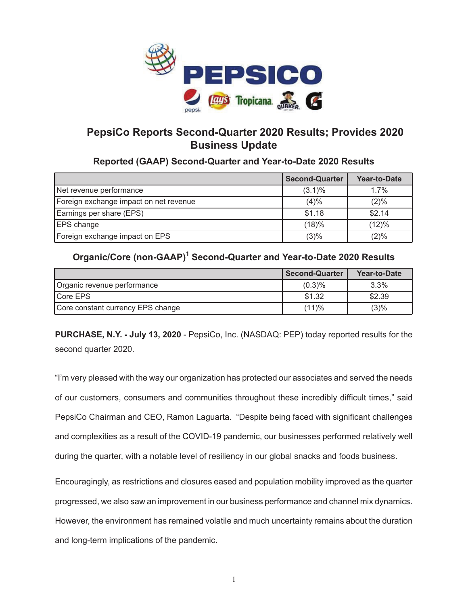

# **PepsiCo Reports Second-Quarter 2020 Results; Provides 2020 Business Update**

### **Reported (GAAP) Second-Quarter and Year-to-Date 2020 Results**

|                                        | <b>Second-Quarter</b> | Year-to-Date |
|----------------------------------------|-----------------------|--------------|
| Net revenue performance                | $(3.1)\%$             | 1.7%         |
| Foreign exchange impact on net revenue | (4)%                  | $(2)\%$      |
| Earnings per share (EPS)               | \$1.18                | \$2.14       |
| <b>EPS</b> change                      | (18)%                 | (12)%        |
| Foreign exchange impact on EPS         | (3)%                  | (2)%         |

### Organic/Core (non-GAAP)<sup>1</sup> Second-Quarter and Year-to-Date 2020 Results

|                                   | <b>Second-Quarter</b> | Year-to-Date |
|-----------------------------------|-----------------------|--------------|
| Organic revenue performance       | (0.3)%                | $3.3\%$      |
| Core EPS                          | \$1.32                | \$2.39       |
| Core constant currency EPS change | (11)%                 | (3)%         |

**PURCHASE, N.Y. - July 13, 2020** - PepsiCo, Inc. (NASDAQ: PEP) today reported results for the second quarter 2020.

"I'm very pleased with the way our organization has protected our associates and served the needs of our customers, consumers and communities throughout these incredibly difficult times," said PepsiCo Chairman and CEO, Ramon Laguarta. "Despite being faced with significant challenges and complexities as a result of the COVID-19 pandemic, our businesses performed relatively well during the quarter, with a notable level of resiliency in our global snacks and foods business.

Encouragingly, as restrictions and closures eased and population mobility improved as the quarter progressed, we also saw an improvement in our business performance and channel mix dynamics. However, the environment has remained volatile and much uncertainty remains about the duration and long-term implications of the pandemic.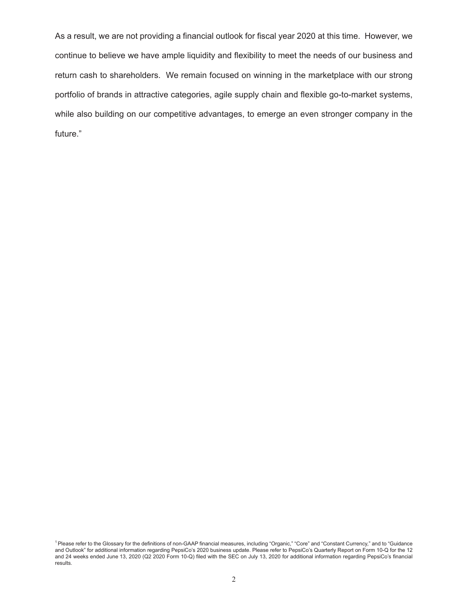As a result, we are not providing a financial outlook for fiscal year 2020 at this time. However, we continue to believe we have ample liquidity and flexibility to meet the needs of our business and return cash to shareholders. We remain focused on winning in the marketplace with our strong portfolio of brands in attractive categories, agile supply chain and flexible go-to-market systems, while also building on our competitive advantages, to emerge an even stronger company in the future."

<sup>1</sup> Please refer to the Glossary for the definitions of non-GAAP financial measures, including "Organic," "Core" and "Constant Currency," and to "Guidance and Outlook" for additional information regarding PepsiCo's 2020 business update. Please refer to PepsiCo's Quarterly Report on Form 10-Q for the 12 and 24 weeks ended June 13, 2020 (Q2 2020 Form 10-Q) filed with the SEC on July 13, 2020 for additional information regarding PepsiCo's financial results.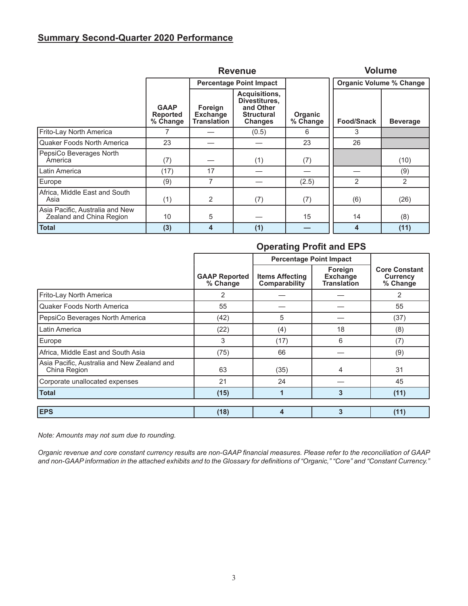# **Summary Second-Quarter 2020 Performance**

|                                                             |                                            | <b>Revenue</b>                                   | <b>Volume</b>                                                                      |                            |                                |                 |
|-------------------------------------------------------------|--------------------------------------------|--------------------------------------------------|------------------------------------------------------------------------------------|----------------------------|--------------------------------|-----------------|
|                                                             |                                            |                                                  | <b>Percentage Point Impact</b>                                                     |                            | <b>Organic Volume % Change</b> |                 |
|                                                             | <b>GAAP</b><br><b>Reported</b><br>% Change | Foreign<br><b>Exchange</b><br><b>Translation</b> | Acquisitions,<br>Divestitures,<br>and Other<br><b>Structural</b><br><b>Changes</b> | <b>Organic</b><br>% Change | <b>Food/Snack</b>              | <b>Beverage</b> |
| Frito-Lay North America                                     |                                            |                                                  | (0.5)                                                                              | 6                          | 3                              |                 |
| Quaker Foods North America                                  | 23                                         |                                                  |                                                                                    | 23                         | 26                             |                 |
| PepsiCo Beverages North<br>America                          | (7)                                        |                                                  | (1)                                                                                | (7)                        |                                | (10)            |
| Latin America                                               | (17)                                       | 17                                               |                                                                                    |                            |                                | (9)             |
| Europe                                                      | (9)                                        | 7                                                |                                                                                    | (2.5)                      | 2                              | 2               |
| Africa, Middle East and South<br>Asia                       | (1)                                        | $\overline{2}$                                   | (7)                                                                                | (7)                        | (6)                            | (26)            |
| Asia Pacific, Australia and New<br>Zealand and China Region | 10                                         | 5                                                |                                                                                    | 15                         | 14                             | (8)             |
| <b>Total</b>                                                | (3)                                        | 4                                                | (1)                                                                                |                            | 4                              | (11)            |

# **Operating Profit and EPS**

|                                                             |                                  | <b>Percentage Point Impact</b>          |                                                  |                                                     |
|-------------------------------------------------------------|----------------------------------|-----------------------------------------|--------------------------------------------------|-----------------------------------------------------|
|                                                             | <b>GAAP Reported</b><br>% Change | <b>Items Affecting</b><br>Comparability | Foreign<br><b>Exchange</b><br><b>Translation</b> | <b>Core Constant</b><br><b>Currency</b><br>% Change |
| Frito-Lay North America                                     | $\overline{2}$                   |                                         |                                                  | 2                                                   |
| Quaker Foods North America                                  | 55                               |                                         |                                                  | 55                                                  |
| PepsiCo Beverages North America                             | (42)                             | 5                                       |                                                  | (37)                                                |
| Latin America                                               | (22)                             | (4)                                     | 18                                               | (8)                                                 |
| Europe                                                      | 3                                | (17)                                    | 6                                                | (7)                                                 |
| Africa, Middle East and South Asia                          | (75)                             | 66                                      |                                                  | (9)                                                 |
| Asia Pacific, Australia and New Zealand and<br>China Region | 63                               | (35)                                    | 4                                                | 31                                                  |
| Corporate unallocated expenses                              | 21                               | 24                                      |                                                  | 45                                                  |
| <b>Total</b>                                                | (15)                             | 1                                       | 3                                                | (11)                                                |
|                                                             |                                  |                                         |                                                  |                                                     |
| <b>EPS</b>                                                  | (18)                             | $\overline{\mathbf{4}}$                 | 3                                                | (11)                                                |

*Note: Amounts may not sum due to rounding.*

*Organic revenue and core constant currency results are non-GAAP financial measures. Please refer to the reconciliation of GAAP and non-GAAP information in the attached exhibits and to the Glossary for definitions of "Organic," "Core" and "Constant Currency."*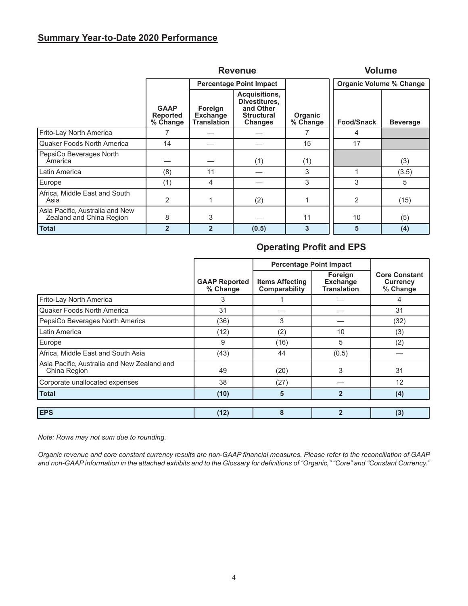### **Summary Year-to-Date 2020 Performance**

|                                                             |                                            | <b>Revenue</b>                                   | <b>Volume</b>                                                                      |                     |                                |                 |
|-------------------------------------------------------------|--------------------------------------------|--------------------------------------------------|------------------------------------------------------------------------------------|---------------------|--------------------------------|-----------------|
|                                                             |                                            |                                                  | <b>Percentage Point Impact</b>                                                     |                     | <b>Organic Volume % Change</b> |                 |
|                                                             | <b>GAAP</b><br><b>Reported</b><br>% Change | Foreign<br><b>Exchange</b><br><b>Translation</b> | Acquisitions,<br>Divestitures.<br>and Other<br><b>Structural</b><br><b>Changes</b> | Organic<br>% Change | <b>Food/Snack</b>              | <b>Beverage</b> |
| Frito-Lay North America                                     |                                            |                                                  |                                                                                    |                     | 4                              |                 |
| Quaker Foods North America                                  | 14                                         |                                                  |                                                                                    | 15                  | 17                             |                 |
| PepsiCo Beverages North<br>America                          |                                            |                                                  | (1)                                                                                | (1)                 |                                | (3)             |
| Latin America                                               | (8)                                        | 11                                               |                                                                                    | 3                   |                                | (3.5)           |
| Europe                                                      | (1)                                        | 4                                                |                                                                                    | 3                   | 3                              | 5               |
| Africa, Middle East and South<br>Asia                       | 2                                          |                                                  | (2)                                                                                |                     | 2                              | (15)            |
| Asia Pacific, Australia and New<br>Zealand and China Region | 8                                          | 3                                                |                                                                                    | 11                  | 10                             | (5)             |
| <b>Total</b>                                                | $\overline{2}$                             | $\overline{2}$                                   | (0.5)                                                                              | 3                   | 5                              | (4)             |

# **Operating Profit and EPS**

|                                                             |                                  | <b>Percentage Point Impact</b>          |                                                  |                                              |
|-------------------------------------------------------------|----------------------------------|-----------------------------------------|--------------------------------------------------|----------------------------------------------|
|                                                             | <b>GAAP Reported</b><br>% Change | <b>Items Affecting</b><br>Comparability | Foreign<br><b>Exchange</b><br><b>Translation</b> | <b>Core Constant</b><br>Currency<br>% Change |
| Frito-Lay North America                                     | 3                                |                                         |                                                  | 4                                            |
| <b>Quaker Foods North America</b>                           | 31                               |                                         |                                                  | 31                                           |
| PepsiCo Beverages North America                             | (36)                             | 3                                       |                                                  | (32)                                         |
| Latin America                                               | (12)                             | (2)                                     | 10                                               | (3)                                          |
| Europe                                                      | 9                                | (16)                                    | 5                                                | (2)                                          |
| Africa, Middle East and South Asia                          | (43)                             | 44                                      | (0.5)                                            |                                              |
| Asia Pacific, Australia and New Zealand and<br>China Region | 49                               | (20)                                    | 3                                                | 31                                           |
| Corporate unallocated expenses                              | 38                               | (27)                                    |                                                  | 12                                           |
| <b>Total</b>                                                | (10)                             | 5                                       | $\overline{2}$                                   | (4)                                          |
| <b>EPS</b>                                                  | (12)                             | 8                                       | $\overline{2}$                                   | (3)                                          |

*Note: Rows may not sum due to rounding.*

*Organic revenue and core constant currency results are non-GAAP financial measures. Please refer to the reconciliation of GAAP and non-GAAP information in the attached exhibits and to the Glossary for definitions of "Organic," "Core" and "Constant Currency."*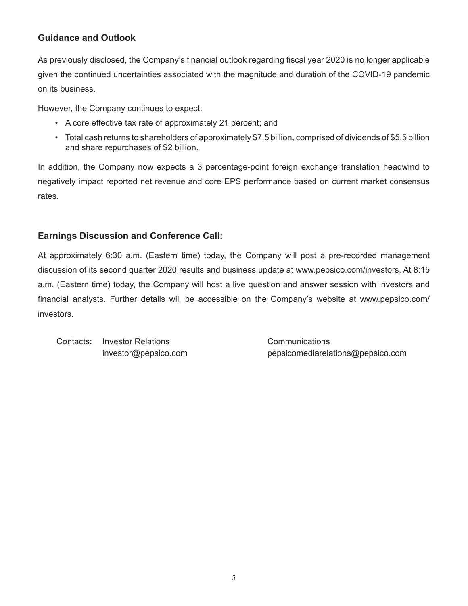# **Guidance and Outlook**

As previously disclosed, the Company's financial outlook regarding fiscal year 2020 is no longer applicable given the continued uncertainties associated with the magnitude and duration of the COVID-19 pandemic on its business.

However, the Company continues to expect:

- A core effective tax rate of approximately 21 percent; and
- Total cash returns to shareholders of approximately \$7.5 billion, comprised of dividends of \$5.5 billion and share repurchases of \$2 billion.

In addition, the Company now expects a 3 percentage-point foreign exchange translation headwind to negatively impact reported net revenue and core EPS performance based on current market consensus rates.

# **Earnings Discussion and Conference Call:**

At approximately 6:30 a.m. (Eastern time) today, the Company will post a pre-recorded management discussion of its second quarter 2020 results and business update at www.pepsico.com/investors. At 8:15 a.m. (Eastern time) today, the Company will host a live question and answer session with investors and financial analysts. Further details will be accessible on the Company's website at www.pepsico.com/ investors.

Contacts: Investor Relations Communications

investor@pepsico.com pepsicomediarelations@pepsico.com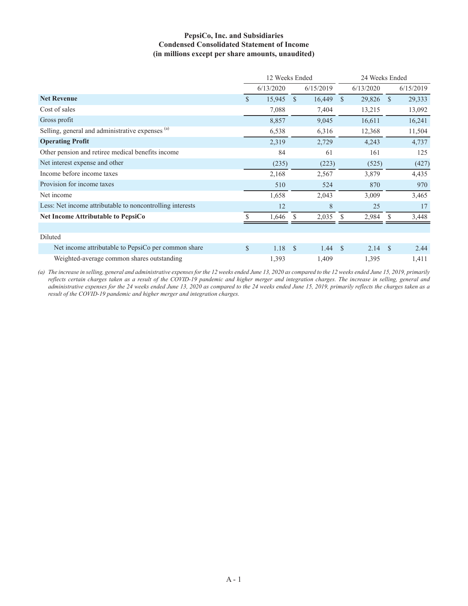#### **PepsiCo, Inc. and Subsidiaries Condensed Consolidated Statement of Income (in millions except per share amounts, unaudited)**

|                                                           | 12 Weeks Ended |           |               |           | 24 Weeks Ended |           |               |           |
|-----------------------------------------------------------|----------------|-----------|---------------|-----------|----------------|-----------|---------------|-----------|
|                                                           |                | 6/13/2020 |               | 6/15/2019 |                | 6/13/2020 |               | 6/15/2019 |
| <b>Net Revenue</b>                                        | $\mathcal{S}$  | 15,945    | $\mathcal{S}$ | 16,449    | $\mathcal{S}$  | 29,826    | $\mathcal{S}$ | 29,333    |
| Cost of sales                                             |                | 7,088     |               | 7,404     |                | 13,215    |               | 13,092    |
| Gross profit                                              |                | 8,857     |               | 9,045     |                | 16,611    |               | 16,241    |
| Selling, general and administrative expenses (a)          |                | 6,538     |               | 6,316     |                | 12,368    |               | 11,504    |
| <b>Operating Profit</b>                                   |                | 2,319     |               | 2,729     |                | 4,243     |               | 4,737     |
| Other pension and retiree medical benefits income         |                | 84        |               | 61        |                | 161       |               | 125       |
| Net interest expense and other                            |                | (235)     |               | (223)     |                | (525)     |               | (427)     |
| Income before income taxes                                |                | 2,168     |               | 2,567     |                | 3,879     |               | 4,435     |
| Provision for income taxes                                |                | 510       |               | 524       |                | 870       |               | 970       |
| Net income                                                |                | 1,658     |               | 2,043     |                | 3,009     |               | 3,465     |
| Less: Net income attributable to noncontrolling interests |                | 12        |               | 8         |                | 25        |               | 17        |
| <b>Net Income Attributable to PepsiCo</b>                 |                | 1,646     |               | 2,035     | S.             | 2,984     |               | 3,448     |
|                                                           |                |           |               |           |                |           |               |           |
| Diluted                                                   |                |           |               |           |                |           |               |           |
| Net income attributable to PepsiCo per common share       | $\mathbb{S}$   | 1.18      | - S           | 1.44      | $\mathbf{s}$   | 2.14      | - \$          | 2.44      |
| Weighted-average common shares outstanding                |                | 1,393     |               | 1,409     |                | 1,395     |               | 1,411     |

*(a) The increase in selling, general and administrative expenses for the 12 weeks ended June 13, 2020 as compared to the 12 weeks ended June 15, 2019, primarily reflects certain charges taken as a result of the COVID-19 pandemic and higher merger and integration charges. The increase in selling, general and administrative expenses for the 24 weeks ended June 13, 2020 as compared to the 24 weeks ended June 15, 2019, primarily reflects the charges taken as a result of the COVID-19 pandemic and higher merger and integration charges.*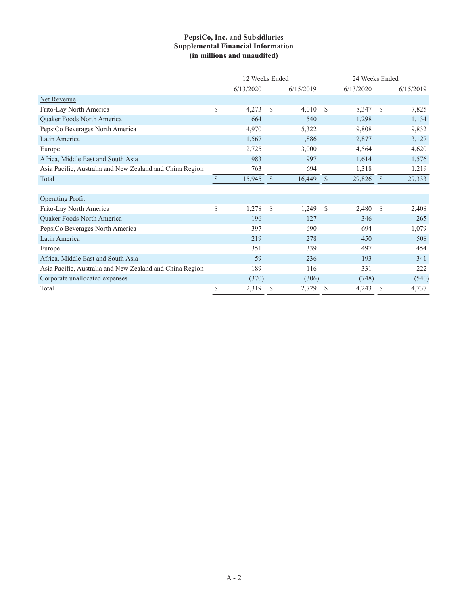### **PepsiCo, Inc. and Subsidiaries Supplemental Financial Information (in millions and unaudited)**

|                                                          | 12 Weeks Ended |           |               |           |               | 24 Weeks Ended |              |           |  |
|----------------------------------------------------------|----------------|-----------|---------------|-----------|---------------|----------------|--------------|-----------|--|
|                                                          |                | 6/13/2020 |               | 6/15/2019 |               | 6/13/2020      |              | 6/15/2019 |  |
| Net Revenue                                              |                |           |               |           |               |                |              |           |  |
| Frito-Lay North America                                  | \$             | 4,273     | \$            | 4,010     | \$            | 8,347          | S            | 7,825     |  |
| Quaker Foods North America                               |                | 664       |               | 540       |               | 1,298          |              | 1,134     |  |
| PepsiCo Beverages North America                          |                | 4,970     |               | 5,322     |               | 9,808          |              | 9,832     |  |
| Latin America                                            |                | 1,567     |               | 1,886     |               | 2,877          |              | 3,127     |  |
| Europe                                                   |                | 2,725     |               | 3,000     |               | 4,564          |              | 4,620     |  |
| Africa, Middle East and South Asia                       |                | 983       |               | 997       |               | 1,614          |              | 1,576     |  |
| Asia Pacific, Australia and New Zealand and China Region |                | 763       |               | 694       |               | 1,318          |              | 1,219     |  |
| Total                                                    | $\mathcal{S}$  | 15,945    | <sup>\$</sup> | 16,449    | \$            | 29,826         | $\mathbb{S}$ | 29,333    |  |
|                                                          |                |           |               |           |               |                |              |           |  |
| <b>Operating Profit</b>                                  |                |           |               |           |               |                |              |           |  |
| Frito-Lay North America                                  | \$             | 1,278     | \$            | 1,249     | $\mathcal{S}$ | 2,480          | <sup>S</sup> | 2,408     |  |
| Quaker Foods North America                               |                | 196       |               | 127       |               | 346            |              | 265       |  |
| PepsiCo Beverages North America                          |                | 397       |               | 690       |               | 694            |              | 1,079     |  |
| Latin America                                            |                | 219       |               | 278       |               | 450            |              | 508       |  |
| Europe                                                   |                | 351       |               | 339       |               | 497            |              | 454       |  |
| Africa, Middle East and South Asia                       |                | 59        |               | 236       |               | 193            |              | 341       |  |
| Asia Pacific, Australia and New Zealand and China Region |                | 189       |               | 116       |               | 331            |              | 222       |  |
| Corporate unallocated expenses                           |                | (370)     |               | (306)     |               | (748)          |              | (540)     |  |
| Total                                                    | \$             | 2,319     | S             | 2,729     | \$            | 4,243          | S            | 4,737     |  |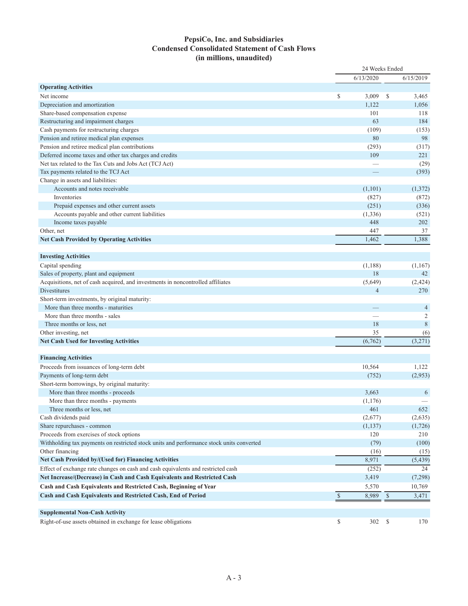### **PepsiCo, Inc. and Subsidiaries Condensed Consolidated Statement of Cash Flows (in millions, unaudited)**

|                                                                                          | 24 Weeks Ended |                |    |                |  |  |
|------------------------------------------------------------------------------------------|----------------|----------------|----|----------------|--|--|
|                                                                                          |                | 6/13/2020      |    | 6/15/2019      |  |  |
| <b>Operating Activities</b>                                                              |                |                |    |                |  |  |
| Net income                                                                               | \$             | 3,009          | \$ | 3,465          |  |  |
| Depreciation and amortization                                                            |                | 1,122          |    | 1,056          |  |  |
| Share-based compensation expense                                                         |                | 101            |    | 118            |  |  |
| Restructuring and impairment charges                                                     |                | 63             |    | 184            |  |  |
| Cash payments for restructuring charges                                                  |                | (109)          |    | (153)          |  |  |
| Pension and retiree medical plan expenses                                                |                | 80             |    | 98             |  |  |
| Pension and retiree medical plan contributions                                           |                | (293)          |    | (317)          |  |  |
| Deferred income taxes and other tax charges and credits                                  |                | 109            |    | 221            |  |  |
| Net tax related to the Tax Cuts and Jobs Act (TCJ Act)                                   |                |                |    | (29)           |  |  |
| Tax payments related to the TCJ Act                                                      |                |                |    | (393)          |  |  |
| Change in assets and liabilities:                                                        |                |                |    |                |  |  |
| Accounts and notes receivable                                                            |                | (1,101)        |    | (1,372)        |  |  |
| Inventories                                                                              |                | (827)          |    | (872)          |  |  |
| Prepaid expenses and other current assets                                                |                | (251)          |    | (336)          |  |  |
| Accounts payable and other current liabilities                                           |                | (1, 336)       |    | (521)          |  |  |
| Income taxes payable                                                                     |                | 448            |    | 202            |  |  |
| Other, net                                                                               |                | 447            |    | 37             |  |  |
| <b>Net Cash Provided by Operating Activities</b>                                         |                | 1,462          |    | 1,388          |  |  |
|                                                                                          |                |                |    |                |  |  |
| <b>Investing Activities</b>                                                              |                |                |    |                |  |  |
| Capital spending                                                                         |                | (1,188)        |    | (1,167)        |  |  |
| Sales of property, plant and equipment                                                   |                | 18             |    | 42             |  |  |
| Acquisitions, net of cash acquired, and investments in noncontrolled affiliates          |                | (5,649)        |    | (2, 424)       |  |  |
| <b>Divestitures</b>                                                                      |                | $\overline{4}$ |    | 270            |  |  |
| Short-term investments, by original maturity:                                            |                |                |    |                |  |  |
| More than three months - maturities                                                      |                |                |    | $\overline{4}$ |  |  |
| More than three months - sales                                                           |                |                |    | $\overline{c}$ |  |  |
| Three months or less, net                                                                |                | 18             |    | 8              |  |  |
| Other investing, net                                                                     |                | 35             |    | (6)            |  |  |
| <b>Net Cash Used for Investing Activities</b>                                            |                | (6, 762)       |    | (3,271)        |  |  |
|                                                                                          |                |                |    |                |  |  |
| <b>Financing Activities</b>                                                              |                |                |    |                |  |  |
| Proceeds from issuances of long-term debt                                                |                | 10,564         |    | 1,122          |  |  |
| Payments of long-term debt                                                               |                | (752)          |    | (2,953)        |  |  |
| Short-term borrowings, by original maturity:                                             |                |                |    |                |  |  |
| More than three months - proceeds                                                        |                | 3,663          |    | 6              |  |  |
| More than three months - payments                                                        |                | (1, 176)       |    |                |  |  |
| Three months or less, net                                                                |                | 461            |    | 652            |  |  |
| Cash dividends paid                                                                      |                | (2,677)        |    | (2,635)        |  |  |
| Share repurchases - common                                                               |                | (1, 137)       |    | (1,726)        |  |  |
| Proceeds from exercises of stock options                                                 |                | 120            |    | 210            |  |  |
| Withholding tax payments on restricted stock units and performance stock units converted |                | (79)           |    | (100)          |  |  |
| Other financing                                                                          |                | (16)           |    | (15)           |  |  |
| Net Cash Provided by/(Used for) Financing Activities                                     |                | 8,971          |    | (5, 439)       |  |  |
| Effect of exchange rate changes on cash and cash equivalents and restricted cash         |                | (252)          |    | 24             |  |  |
| Net Increase/(Decrease) in Cash and Cash Equivalents and Restricted Cash                 |                | 3,419          |    | (7,298)        |  |  |
| Cash and Cash Equivalents and Restricted Cash, Beginning of Year                         |                | 5,570          |    | 10,769         |  |  |
| Cash and Cash Equivalents and Restricted Cash, End of Period                             | $\mathbb{S}$   | 8,989 \$       |    | 3,471          |  |  |
|                                                                                          |                |                |    |                |  |  |
| <b>Supplemental Non-Cash Activity</b>                                                    |                |                |    |                |  |  |
| Right-of-use assets obtained in exchange for lease obligations                           | \$             | 302 \$         |    | 170            |  |  |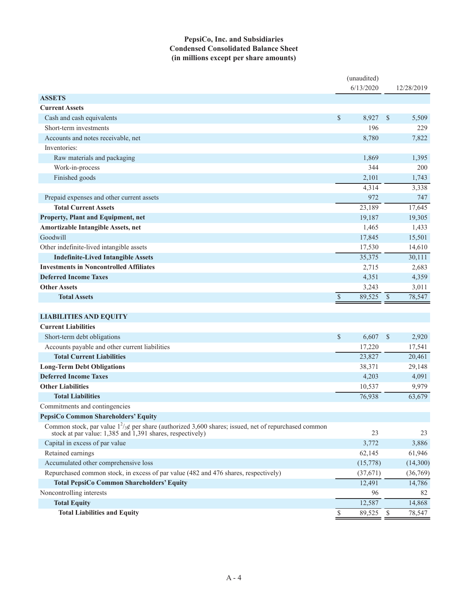### **PepsiCo, Inc. and Subsidiaries Condensed Consolidated Balance Sheet (in millions except per share amounts)**

|                                                                                                                                                                                       |      | (unaudited)<br>6/13/2020 |                           | 12/28/2019 |
|---------------------------------------------------------------------------------------------------------------------------------------------------------------------------------------|------|--------------------------|---------------------------|------------|
| <b>ASSETS</b>                                                                                                                                                                         |      |                          |                           |            |
| <b>Current Assets</b>                                                                                                                                                                 |      |                          |                           |            |
| Cash and cash equivalents                                                                                                                                                             | \$   | 8,927                    | $\mathcal{S}$             | 5,509      |
| Short-term investments                                                                                                                                                                |      | 196                      |                           | 229        |
| Accounts and notes receivable, net                                                                                                                                                    |      | 8,780                    |                           | 7,822      |
| Inventories:                                                                                                                                                                          |      |                          |                           |            |
| Raw materials and packaging                                                                                                                                                           |      | 1,869                    |                           | 1,395      |
| Work-in-process                                                                                                                                                                       |      | 344                      |                           | 200        |
| Finished goods                                                                                                                                                                        |      | 2,101                    |                           | 1,743      |
|                                                                                                                                                                                       |      | 4,314                    |                           | 3,338      |
| Prepaid expenses and other current assets                                                                                                                                             |      | 972                      |                           | 747        |
| <b>Total Current Assets</b>                                                                                                                                                           |      | 23,189                   |                           | 17,645     |
| Property, Plant and Equipment, net                                                                                                                                                    |      | 19,187                   |                           | 19,305     |
| Amortizable Intangible Assets, net                                                                                                                                                    |      | 1,465                    |                           | 1,433      |
| Goodwill                                                                                                                                                                              |      | 17,845                   |                           | 15,501     |
| Other indefinite-lived intangible assets                                                                                                                                              |      | 17,530                   |                           | 14,610     |
| <b>Indefinite-Lived Intangible Assets</b>                                                                                                                                             |      | 35,375                   |                           | 30,111     |
| <b>Investments in Noncontrolled Affiliates</b>                                                                                                                                        |      | 2,715                    |                           | 2,683      |
| <b>Deferred Income Taxes</b>                                                                                                                                                          |      | 4,351                    |                           | 4,359      |
| <b>Other Assets</b>                                                                                                                                                                   |      | 3,243                    |                           | 3,011      |
| <b>Total Assets</b>                                                                                                                                                                   | $\$$ | 89,525                   | $\mathcal{S}$             | 78,547     |
|                                                                                                                                                                                       |      |                          |                           |            |
| <b>LIABILITIES AND EQUITY</b>                                                                                                                                                         |      |                          |                           |            |
| <b>Current Liabilities</b>                                                                                                                                                            |      |                          |                           |            |
| Short-term debt obligations                                                                                                                                                           | \$   | 6,607                    | $\boldsymbol{\mathsf{S}}$ | 2,920      |
| Accounts payable and other current liabilities                                                                                                                                        |      | 17,220                   |                           | 17,541     |
| <b>Total Current Liabilities</b>                                                                                                                                                      |      | 23,827                   |                           | 20,461     |
| <b>Long-Term Debt Obligations</b>                                                                                                                                                     |      | 38,371                   |                           | 29,148     |
| <b>Deferred Income Taxes</b>                                                                                                                                                          |      | 4,203                    |                           | 4,091      |
| <b>Other Liabilities</b>                                                                                                                                                              |      | 10,537                   |                           | 9,979      |
| <b>Total Liabilities</b>                                                                                                                                                              |      | 76,938                   |                           | 63,679     |
| Commitments and contingencies                                                                                                                                                         |      |                          |                           |            |
| PepsiCo Common Shareholders' Equity                                                                                                                                                   |      |                          |                           |            |
| Common stock, par value $1^2/\cancel{3}\cancel{6}$ per share (authorized 3,600 shares; issued, net of repurchased common<br>stock at par value: 1,385 and 1,391 shares, respectively) |      | 23                       |                           | 23         |
| Capital in excess of par value                                                                                                                                                        |      | 3,772                    |                           | 3,886      |
| Retained earnings                                                                                                                                                                     |      | 62,145                   |                           | 61,946     |
| Accumulated other comprehensive loss                                                                                                                                                  |      | (15,778)                 |                           | (14,300)   |
| Repurchased common stock, in excess of par value (482 and 476 shares, respectively)                                                                                                   |      | (37,671)                 |                           | (36,769)   |
| <b>Total PepsiCo Common Shareholders' Equity</b>                                                                                                                                      |      | 12,491                   |                           | 14,786     |
| Noncontrolling interests                                                                                                                                                              |      | 96                       |                           | 82         |
| <b>Total Equity</b>                                                                                                                                                                   |      | 12,587                   |                           | 14,868     |
| <b>Total Liabilities and Equity</b>                                                                                                                                                   | \$   | 89,525                   | $\mathcal{S}$             | 78,547     |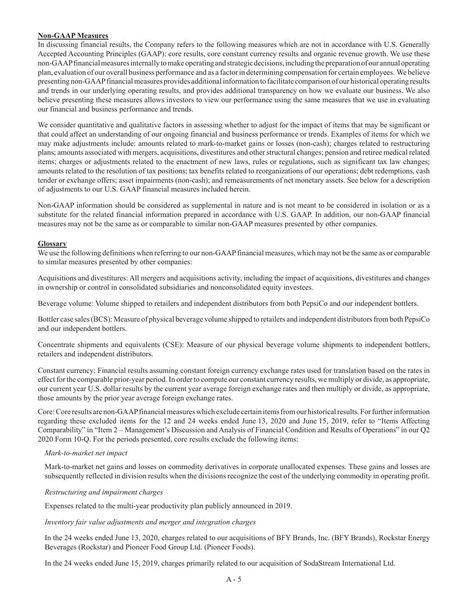#### **Non-GAAP Measures**

In discussing financial results, the Company refers to the following measures which are not in accordance with U.S. Generally Accepted Accounting Principles (GAAP): core results, core constant currency results and organic revenue growth. We use these non-GAAP financial measures internally to make operating and strategic decisions, including the preparation of our annual operating plan, evaluation of our overall business performance and as a factor in determining compensation for certain employees. We believe presenting non-GAAP financial measures provides additional information to facilitate comparison of our historical operating results and trends in our underlying operating results, and provides additional transparency on how we evaluate our business. We also believe presenting these measures allows investors to view our performance using the same measures that we use in evaluating our financial and business performance and trends.

We consider quantitative and qualitative factors in assessing whether to adjust for the impact of items that may be significant or that could affect an understanding of our ongoing financial and business performance or trends. Examples of items for which we may make adjustments include: amounts related to mark-to-market gains or losses (non-cash); charges related to restructuring plans; amounts associated with mergers, acquisitions, divestitures and other structural changes; pension and retiree medical related items; charges or adjustments related to the enactment of new laws, rules or regulations, such as significant tax law changes; amounts related to the resolution of tax positions; tax benefits related to reorganizations of our operations; debt redemptions, cash tender or exchange offers; asset impairments (non-cash); and remeasurements of net monetary assets. See below for a description of adjustments to our U.S. GAAP financial measures included herein.

Non-GAAP information should be considered as supplemental in nature and is not meant to be considered in isolation or as a substitute for the related financial information prepared in accordance with U.S. GAAP. In addition, our non-GAAP financial measures may not be the same as or comparable to similar non-GAAP measures presented by other companies.

#### **Glossary**

We use the following definitions when referring to our non-GAAP financial measures, which may not be the same as or comparable to similar measures presented by other companies:

Acquisitions and divestitures: All mergers and acquisitions activity, including the impact of acquisitions, divestitures and changes in ownership or control in consolidated subsidiaries and nonconsolidated equity investees.

Beverage volume: Volume shipped to retailers and independent distributors from both PepsiCo and our independent bottlers.

Bottler case sales (BCS): Measure of physical beverage volume shipped to retailers and independent distributors from both PepsiCo and our independent bottlers.

Concentrate shipments and equivalents (CSE): Measure of our physical beverage volume shipments to independent bottlers, retailers and independent distributors.

Constant currency: Financial results assuming constant foreign currency exchange rates used for translation based on the rates in effect for the comparable prior-year period. In order to compute our constant currency results, we multiply or divide, as appropriate, our current year U.S. dollar results by the current year average foreign exchange rates and then multiply or divide, as appropriate, those amounts by the prior year average foreign exchange rates.

Core: Core results are non-GAAP financial measures which exclude certain items from our historical results. For further information regarding these excluded items for the 12 and 24 weeks ended June 13, 2020 and June 15, 2019, refer to "Items Affecting Comparability" in "Item 2 – Management's Discussion and Analysis of Financial Condition and Results of Operations" in our Q2 2020 Form 10-Q. For the periods presented, core results exclude the following items:

#### *Mark-to-market net impact*

Mark-to-market net gains and losses on commodity derivatives in corporate unallocated expenses. These gains and losses are subsequently reflected in division results when the divisions recognize the cost of the underlying commodity in operating profit.

#### *Restructuring and impairment charges*

Expenses related to the multi-year productivity plan publicly announced in 2019.

#### *Inventory fair value adjustments and merger and integration charges*

In the 24 weeks ended June 13, 2020, charges related to our acquisitions of BFY Brands, Inc. (BFY Brands), Rockstar Energy Beverages (Rockstar) and Pioneer Food Group Ltd. (Pioneer Foods).

In the 24 weeks ended June 15, 2019, charges primarily related to our acquisition of SodaStream International Ltd.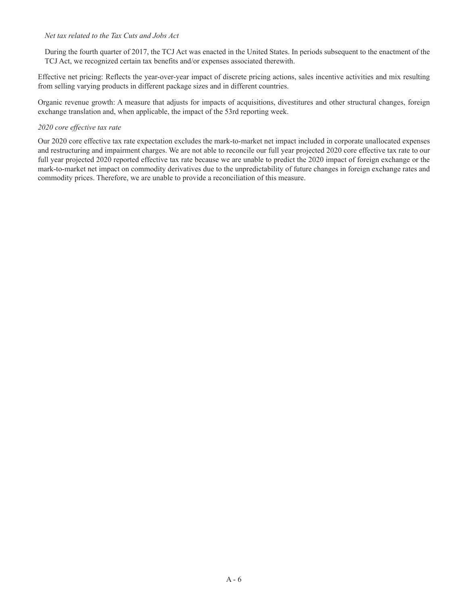#### *Net tax related to the Tax Cuts and Jobs Act*

During the fourth quarter of 2017, the TCJ Act was enacted in the United States. In periods subsequent to the enactment of the TCJ Act, we recognized certain tax benefits and/or expenses associated therewith.

Effective net pricing: Reflects the year-over-year impact of discrete pricing actions, sales incentive activities and mix resulting from selling varying products in different package sizes and in different countries.

Organic revenue growth: A measure that adjusts for impacts of acquisitions, divestitures and other structural changes, foreign exchange translation and, when applicable, the impact of the 53rd reporting week.

#### *2020 core effective tax rate*

Our 2020 core effective tax rate expectation excludes the mark-to-market net impact included in corporate unallocated expenses and restructuring and impairment charges. We are not able to reconcile our full year projected 2020 core effective tax rate to our full year projected 2020 reported effective tax rate because we are unable to predict the 2020 impact of foreign exchange or the mark-to-market net impact on commodity derivatives due to the unpredictability of future changes in foreign exchange rates and commodity prices. Therefore, we are unable to provide a reconciliation of this measure.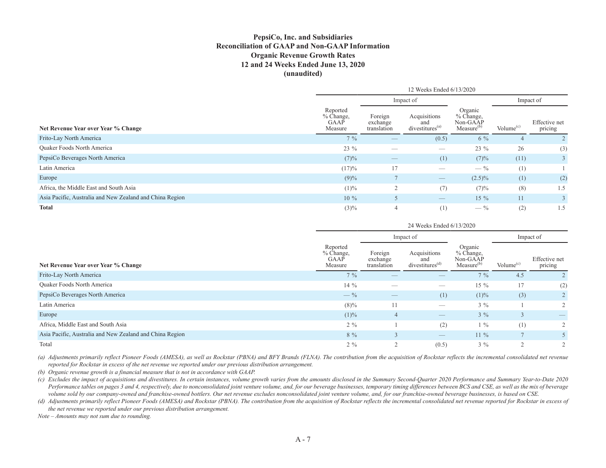### **PepsiCo, Inc. and Subsidiaries Reconciliation of GAAP and Non-GAAP Information Organic Revenue Growth Rates 12 and 24 Weeks Ended June 13, 2020 (unaudited)**

|                                                          | 12 Weeks Ended 6/13/2020                   |                                    |                                                                                                                                                                                                                                                                                                                                                                                               |                                                              |              |                          |  |  |  |
|----------------------------------------------------------|--------------------------------------------|------------------------------------|-----------------------------------------------------------------------------------------------------------------------------------------------------------------------------------------------------------------------------------------------------------------------------------------------------------------------------------------------------------------------------------------------|--------------------------------------------------------------|--------------|--------------------------|--|--|--|
|                                                          |                                            |                                    | Impact of                                                                                                                                                                                                                                                                                                                                                                                     |                                                              | Impact of    |                          |  |  |  |
| Net Revenue Year over Year % Change                      | Reported<br>$%$ Change,<br>GAAP<br>Measure | Foreign<br>exchange<br>translation | Acquisitions<br>and<br>divestitures <sup>(a)</sup>                                                                                                                                                                                                                                                                                                                                            | Organic<br>$%$ Change,<br>Non-GAAP<br>Measure <sup>(b)</sup> | Volume $(c)$ | Effective net<br>pricing |  |  |  |
| Frito-Lay North America                                  | $7\%$                                      | $\hspace{0.1mm}-\hspace{0.1mm}$    | (0.5)                                                                                                                                                                                                                                                                                                                                                                                         | $6\%$                                                        |              |                          |  |  |  |
| <b>Ouaker Foods North America</b>                        | $23 \%$                                    |                                    |                                                                                                                                                                                                                                                                                                                                                                                               | 23 %                                                         | 26           | (3)                      |  |  |  |
| PepsiCo Beverages North America                          | (7)%                                       | $\hspace{0.1mm}-\hspace{0.1mm}$    | (1)                                                                                                                                                                                                                                                                                                                                                                                           | (7)%                                                         | (11)         | 3                        |  |  |  |
| Latin America                                            | (17)%                                      | 17                                 |                                                                                                                                                                                                                                                                                                                                                                                               | $-$ %                                                        | (1)          |                          |  |  |  |
| Europe                                                   | $(9)\%$                                    |                                    | $\hspace{1.0cm} \overline{\hspace{1.0cm} \hspace{1.0cm} \hspace{1.0cm} } \hspace{1.0cm} \hspace{1.0cm} \overline{\hspace{1.0cm} \hspace{1.0cm} \hspace{1.0cm} } \hspace{1.0cm} \hspace{1.0cm} \overline{\hspace{1.0cm} \hspace{1.0cm} \hspace{1.0cm} } \hspace{1.0cm} \hspace{1.0cm} \overline{\hspace{1.0cm} \hspace{1.0cm} \hspace{1.0cm} } \hspace{1.0cm} \hspace{1.0cm} \hspace{1.0cm} }$ | $(2.5)\%$                                                    | (1)          | (2)                      |  |  |  |
| Africa, the Middle East and South Asia                   | $(1)\%$                                    | $\overline{2}$                     | (7)                                                                                                                                                                                                                                                                                                                                                                                           | (7)%                                                         | (8)          | 1.5                      |  |  |  |
| Asia Pacific, Australia and New Zealand and China Region | $10\%$                                     |                                    | $\hspace{1.0cm} \overline{\hspace{1.0cm} \hspace{1.0cm} \hspace{1.0cm} } \hspace{1.0cm} \hspace{1.0cm} \overline{\hspace{1.0cm} \hspace{1.0cm} \hspace{1.0cm} } \hspace{1.0cm} \hspace{1.0cm} \overline{\hspace{1.0cm} \hspace{1.0cm} \hspace{1.0cm} } \hspace{1.0cm} \hspace{1.0cm} \overline{\hspace{1.0cm} \hspace{1.0cm} \hspace{1.0cm} } \hspace{1.0cm} \hspace{1.0cm} \hspace{1.0cm} }$ | $15\%$                                                       | 11           | 3                        |  |  |  |
| <b>Total</b>                                             | $(3)\%$                                    | 4                                  | (1)                                                                                                                                                                                                                                                                                                                                                                                           | $- \frac{9}{6}$                                              | (2)          | 1.5                      |  |  |  |

|                                                          |                                          | 24 Weeks Ended 6/13/2020           |                                                                                                                                                                                                                                                                                                                                                                                               |                                                              |                             |                          |  |  |  |  |  |  |
|----------------------------------------------------------|------------------------------------------|------------------------------------|-----------------------------------------------------------------------------------------------------------------------------------------------------------------------------------------------------------------------------------------------------------------------------------------------------------------------------------------------------------------------------------------------|--------------------------------------------------------------|-----------------------------|--------------------------|--|--|--|--|--|--|
|                                                          |                                          |                                    | Impact of                                                                                                                                                                                                                                                                                                                                                                                     |                                                              | Impact of                   |                          |  |  |  |  |  |  |
| Net Revenue Year over Year % Change                      | Reported<br>% Change,<br>GAAP<br>Measure | Foreign<br>exchange<br>translation | Acquisitions<br>and<br>divestitures <sup>(d)</sup>                                                                                                                                                                                                                                                                                                                                            | Organic<br>$%$ Change,<br>Non-GAAP<br>Measure <sup>(b)</sup> | Volume <sup>(c)</sup>       | Effective net<br>pricing |  |  |  |  |  |  |
| Frito-Lay North America                                  | $7\%$                                    |                                    |                                                                                                                                                                                                                                                                                                                                                                                               | $7\%$                                                        | 4.5                         |                          |  |  |  |  |  |  |
| Quaker Foods North America                               | $14\%$                                   |                                    |                                                                                                                                                                                                                                                                                                                                                                                               | $15\%$                                                       | 17                          | (2)                      |  |  |  |  |  |  |
| PepsiCo Beverages North America                          | $- \frac{9}{6}$                          |                                    | (1)                                                                                                                                                                                                                                                                                                                                                                                           | $(1)\%$                                                      | (3)                         |                          |  |  |  |  |  |  |
| Latin America                                            | $(8)\%$                                  | 11                                 |                                                                                                                                                                                                                                                                                                                                                                                               | $3\%$                                                        |                             | $\overline{2}$           |  |  |  |  |  |  |
| Europe                                                   | $(1)\%$                                  | 4                                  | $\hspace{1.0cm} \overline{\hspace{1.0cm} \hspace{1.0cm} \hspace{1.0cm} } \hspace{1.0cm} \hspace{1.0cm} \overline{\hspace{1.0cm} \hspace{1.0cm} \hspace{1.0cm} } \hspace{1.0cm} \hspace{1.0cm} \overline{\hspace{1.0cm} \hspace{1.0cm} \hspace{1.0cm} } \hspace{1.0cm} \hspace{1.0cm} \overline{\hspace{1.0cm} \hspace{1.0cm} \hspace{1.0cm} } \hspace{1.0cm} \hspace{1.0cm} \hspace{1.0cm} }$ | $3\%$                                                        | $\sqrt{2}$<br>$\mathcal{I}$ |                          |  |  |  |  |  |  |
| Africa, Middle East and South Asia                       | $2\%$                                    |                                    | (2)                                                                                                                                                                                                                                                                                                                                                                                           | $1\%$                                                        | (1)                         | $\overline{2}$           |  |  |  |  |  |  |
| Asia Pacific, Australia and New Zealand and China Region | $8\%$                                    | 3                                  | $\qquad \qquad - \qquad$                                                                                                                                                                                                                                                                                                                                                                      | $11\%$                                                       |                             |                          |  |  |  |  |  |  |
| Total                                                    | $2\%$                                    | $\bigcap$                          | (0.5)                                                                                                                                                                                                                                                                                                                                                                                         | $3\%$                                                        | $\bigcap$                   | $\overline{2}$           |  |  |  |  |  |  |

*(a) Adjustments primarily reflect Pioneer Foods (AMESA), as well as Rockstar (PBNA) and BFY Brands (FLNA). The contribution from the acquisition of Rockstar reflects the incremental consolidated net revenue reported for Rockstar in excess of the net revenue we reported under our previous distribution arrangement.*

*(b) Organic revenue growth is a financial measure that is not in accordance with GAAP.*

*(c) Excludes the impact of acquisitions and divestitures. In certain instances, volume growth varies from the amounts disclosed in the Summary Second-Quarter 2020 Performance and Summary Year-to-Date 2020 Performance tables on pages 3 and 4, respectively, due to nonconsolidated joint venture volume, and, for our beverage businesses, temporary timing differences between BCS and CSE, as well as the mix of beverage volume sold by our company-owned and franchise-owned bottlers. Our net revenue excludes nonconsolidated joint venture volume, and, for our franchise-owned beverage businesses, is based on CSE.*

*(d) Adjustments primarily reflect Pioneer Foods (AMESA) and Rockstar (PBNA). The contribution from the acquisition of Rockstar reflects the incremental consolidated net revenue reported for Rockstar in excess of the net revenue we reported under our previous distribution arrangement.*

*Note – Amounts may not sum due to rounding.*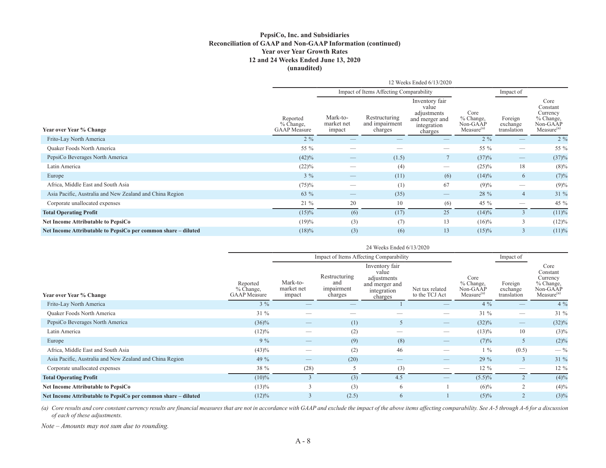#### **PepsiCo, Inc. and Subsidiaries Reconciliation of GAAP and Non-GAAP Information (continued) Year over Year Growth Rates 12 and 24 Weeks Ended June 13, 2020 (unaudited)**

|                                                               | 12 Weeks Ended 6/13/2020<br>Impact of Items Affecting Comparability |                                                                                                                                                                                                                                                                                                                                                                                               |                                            |                                                                                    |                                                         |                                    |                                                                                 |  |  |  |  |  |  |
|---------------------------------------------------------------|---------------------------------------------------------------------|-----------------------------------------------------------------------------------------------------------------------------------------------------------------------------------------------------------------------------------------------------------------------------------------------------------------------------------------------------------------------------------------------|--------------------------------------------|------------------------------------------------------------------------------------|---------------------------------------------------------|------------------------------------|---------------------------------------------------------------------------------|--|--|--|--|--|--|
|                                                               |                                                                     |                                                                                                                                                                                                                                                                                                                                                                                               |                                            |                                                                                    |                                                         | Impact of                          |                                                                                 |  |  |  |  |  |  |
| Year over Year % Change                                       | Reported<br>% Change,<br><b>GAAP</b> Measure                        | Mark-to-<br>market net<br>impact                                                                                                                                                                                                                                                                                                                                                              | Restructuring<br>and impairment<br>charges | Inventory fair<br>value<br>adjustments<br>and merger and<br>integration<br>charges | Core<br>% Change,<br>Non-GAAP<br>Measure <sup>(a)</sup> | Foreign<br>exchange<br>translation | Core<br>Constant<br>Currency<br>% Change,<br>Non-GAAP<br>Measure <sup>(a)</sup> |  |  |  |  |  |  |
| Frito-Lay North America                                       | $2\%$                                                               |                                                                                                                                                                                                                                                                                                                                                                                               |                                            |                                                                                    | $2\%$                                                   |                                    | $2\%$                                                                           |  |  |  |  |  |  |
| <b>Ouaker Foods North America</b>                             | 55 %                                                                | -                                                                                                                                                                                                                                                                                                                                                                                             | __                                         |                                                                                    | 55 %                                                    | $\hspace{0.05cm}$                  | 55 %                                                                            |  |  |  |  |  |  |
| PepsiCo Beverages North America                               | (42)%                                                               | $\hspace{1.0cm} \overline{\hspace{1.0cm} \hspace{1.0cm} \hspace{1.0cm} } \hspace{1.0cm} \hspace{1.0cm} \overline{\hspace{1.0cm} \hspace{1.0cm} \hspace{1.0cm} } \hspace{1.0cm} \hspace{1.0cm} \overline{\hspace{1.0cm} \hspace{1.0cm} \hspace{1.0cm} } \hspace{1.0cm} \hspace{1.0cm} \overline{\hspace{1.0cm} \hspace{1.0cm} \hspace{1.0cm} } \hspace{1.0cm} \hspace{1.0cm} \hspace{1.0cm} }$ | (1.5)                                      |                                                                                    | (37)%                                                   | $\hspace{0.1mm}-\hspace{0.1mm}$    | (37)%                                                                           |  |  |  |  |  |  |
| Latin America                                                 | $(22)\%$                                                            |                                                                                                                                                                                                                                                                                                                                                                                               | (4)                                        |                                                                                    | $(25)\%$                                                | 18                                 | $(8)\%$                                                                         |  |  |  |  |  |  |
| Europe                                                        | $3\%$                                                               | $\hspace{0.1mm}-\hspace{0.1mm}$                                                                                                                                                                                                                                                                                                                                                               | (11)                                       | (6)                                                                                | $(14)\%$                                                | 6                                  | (7)%                                                                            |  |  |  |  |  |  |
| Africa, Middle East and South Asia                            | (75)%                                                               |                                                                                                                                                                                                                                                                                                                                                                                               | (1)                                        | 67                                                                                 | $(9)\%$                                                 | $\overbrace{\hspace{25mm}}^{}$     | (9)%                                                                            |  |  |  |  |  |  |
| Asia Pacific, Australia and New Zealand and China Region      | 63 %                                                                |                                                                                                                                                                                                                                                                                                                                                                                               | (35)                                       |                                                                                    | 28 %                                                    | $\overline{4}$                     | 31 %                                                                            |  |  |  |  |  |  |
| Corporate unallocated expenses                                | $21\%$                                                              | 20                                                                                                                                                                                                                                                                                                                                                                                            | 10                                         | (6)                                                                                | 45 %                                                    | $\hspace{0.05cm}$                  | 45 %                                                                            |  |  |  |  |  |  |
| <b>Total Operating Profit</b>                                 | $(15)\%$                                                            | (6)                                                                                                                                                                                                                                                                                                                                                                                           | (17)                                       | 25                                                                                 | (14)%                                                   |                                    | (11)%                                                                           |  |  |  |  |  |  |
| <b>Net Income Attributable to PepsiCo</b>                     | (19)%                                                               | (3)                                                                                                                                                                                                                                                                                                                                                                                           | (7)                                        | 13                                                                                 | $(16)\%$                                                | 3                                  | (12)%                                                                           |  |  |  |  |  |  |
| Net Income Attributable to PepsiCo per common share – diluted | $(18)\%$                                                            | (3)                                                                                                                                                                                                                                                                                                                                                                                           | (6)                                        | 13                                                                                 | $(15)\%$                                                | $\overline{3}$                     | (11)%                                                                           |  |  |  |  |  |  |

|                                                               |                                              |                                  |                                               | 24 Weeks Ended 6/13/2020                                                           |                                   |                                                         |                                    |                                                                                 |
|---------------------------------------------------------------|----------------------------------------------|----------------------------------|-----------------------------------------------|------------------------------------------------------------------------------------|-----------------------------------|---------------------------------------------------------|------------------------------------|---------------------------------------------------------------------------------|
|                                                               |                                              |                                  |                                               | Impact of Items Affecting Comparability                                            |                                   |                                                         | Impact of                          |                                                                                 |
| Year over Year % Change                                       | Reported<br>% Change,<br><b>GAAP</b> Measure | Mark-to-<br>market net<br>impact | Restructuring<br>and<br>impairment<br>charges | Inventory fair<br>value<br>adjustments<br>and merger and<br>integration<br>charges | Net tax related<br>to the TCJ Act | Core<br>% Change,<br>Non-GAAP<br>Measure <sup>(a)</sup> | Foreign<br>exchange<br>translation | Core<br>Constant<br>Currency<br>% Change,<br>Non-GAAP<br>Measure <sup>(a)</sup> |
| Frito-Lay North America                                       | $3\%$                                        |                                  |                                               |                                                                                    |                                   | $4\%$                                                   |                                    | $4\%$                                                                           |
| Quaker Foods North America                                    | $31\%$                                       |                                  |                                               |                                                                                    |                                   | $31\%$                                                  |                                    | 31 %                                                                            |
| PepsiCo Beverages North America                               | $(36)\%$                                     | $\qquad \qquad \longleftarrow$   | (1)                                           | 5                                                                                  | $\hspace{0.1mm}-\hspace{0.1mm}$   | $(32)\%$                                                |                                    | (32)%                                                                           |
| Latin America                                                 | $(12)\%$                                     |                                  | (2)                                           |                                                                                    |                                   | $(13)\%$                                                | 10                                 | $(3)\%$                                                                         |
| Europe                                                        | $9\%$                                        |                                  | (9)                                           | (8)                                                                                |                                   | (7)%                                                    | 5                                  | $(2)\%$                                                                         |
| Africa, Middle East and South Asia                            | (43)%                                        | __                               | (2)                                           | 46                                                                                 |                                   | $1\%$                                                   | (0.5)                              | $-$ %                                                                           |
| Asia Pacific, Australia and New Zealand and China Region      | 49 $%$                                       |                                  | (20)                                          | $\overline{\phantom{a}}$                                                           |                                   | 29 %                                                    | $\overline{3}$                     | 31 %                                                                            |
| Corporate unallocated expenses                                | 38 %                                         | (28)                             |                                               | (3)                                                                                |                                   | $12\%$                                                  |                                    | $12\%$                                                                          |
| <b>Total Operating Profit</b>                                 | $(10)\%$                                     |                                  | (3)                                           | 4.5                                                                                |                                   | $(5.5)\%$                                               | $\overline{2}$                     | $(4)\%$                                                                         |
| Net Income Attributable to PepsiCo                            | $(13)\%$                                     | 3                                | (3)                                           | 6                                                                                  |                                   | $(6)\%$                                                 | 2                                  | $(4)\%$                                                                         |
| Net Income Attributable to PepsiCo per common share – diluted | $(12)\%$                                     | $\mathcal{I}$                    | (2.5)                                         | 6                                                                                  |                                   | $(5)\%$                                                 | $\overline{2}$                     | $(3)\%$                                                                         |

(a) Core results and core constant currency results are financial measures that are not in accordance with GAAP and exclude the impact of the above items affecting comparability. See A-5 through A-6 for a discussion *of each of these adjustments.*

*Note – Amounts may not sum due to rounding.*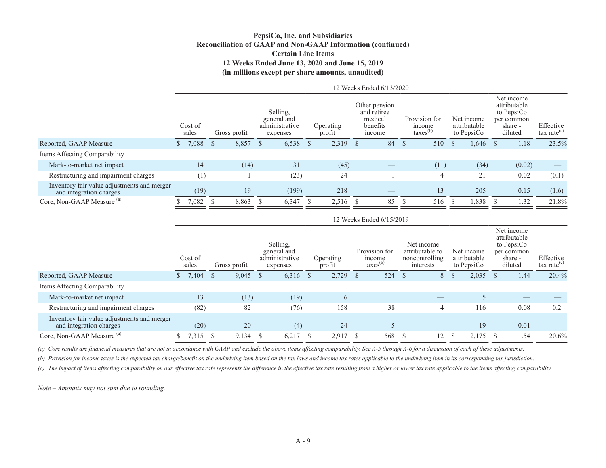#### **PepsiCo, Inc. and Subsidiaries Reconciliation of GAAP and Non-GAAP Information (continued) Certain Line Items 12 Weeks Ended June 13, 2020 and June 15, 2019 (in millions except per share amounts, unaudited)**

|                                                                        |    |                  |      |              |              |                                                       |              |                     |              | 12 Weeks Ended 6/13/2020                                      |      |                                                 |              |                                          |      |                                                                              |                                      |
|------------------------------------------------------------------------|----|------------------|------|--------------|--------------|-------------------------------------------------------|--------------|---------------------|--------------|---------------------------------------------------------------|------|-------------------------------------------------|--------------|------------------------------------------|------|------------------------------------------------------------------------------|--------------------------------------|
|                                                                        |    | Cost of<br>sales |      | Gross profit |              | Selling,<br>general and<br>administrative<br>expenses |              | Operating<br>profit |              | Other pension<br>and retiree<br>medical<br>benefits<br>income |      | Provision for<br>income<br>taxes <sup>(b)</sup> |              | Net income<br>attributable<br>to PepsiCo |      | Net income<br>attributable<br>to PepsiCo<br>per common<br>share -<br>diluted | Effective<br>$\text{tax rate}^{(c)}$ |
| Reported, GAAP Measure                                                 | S. | 7,088            | - \$ | 8,857        | <sup>S</sup> | 6,538                                                 | <sup>S</sup> | 2,319               | <sup>8</sup> | 84                                                            | - \$ | 510                                             | <sup>S</sup> | 1,646                                    | - \$ | 1.18                                                                         | 23.5%                                |
| Items Affecting Comparability                                          |    |                  |      |              |              |                                                       |              |                     |              |                                                               |      |                                                 |              |                                          |      |                                                                              |                                      |
| Mark-to-market net impact                                              |    | 14               |      | (14)         |              | 31                                                    |              | (45)                |              |                                                               |      | (11)                                            |              | (34)                                     |      | (0.02)                                                                       |                                      |
| Restructuring and impairment charges                                   |    | (1)              |      |              |              | (23)                                                  |              | 24                  |              |                                                               |      | 4                                               |              | 21                                       |      | 0.02                                                                         | (0.1)                                |
| Inventory fair value adjustments and merger<br>and integration charges |    | (19)             |      | 19           |              | (199)                                                 |              | 218                 |              |                                                               |      | 13                                              |              | 205                                      |      | 0.15                                                                         | (1.6)                                |
| Core, Non-GAAP Measure <sup>(a)</sup>                                  |    | 7,082 \$         |      | 8,863        | - \$         | 6,347                                                 |              | 2,516               |              | 85                                                            |      | 516                                             | -S           | 1,838                                    |      | 1.32                                                                         | 21.8%                                |
|                                                                        |    |                  |      |              |              |                                                       |              |                     |              | 12 Weeks Ended 6/15/2019                                      |      |                                                 |              |                                          |      |                                                                              |                                      |

|                                                                        |    | Cost of<br>sales |      | Gross profit |      | Selling,<br>general and<br>administrative<br>expenses |              | Operating<br>profit | Provision for<br>income<br>$\text{taxes}^{(b)}$ |      | Net income<br>attributable to<br>noncontrolling<br>interests |               | Net income<br>attributable<br>to PepsiCo | Net income<br>attributable<br>to PepsiCo<br>per common<br>share -<br>diluted | Effective<br>$\text{tax rate}^{(c)}$ |
|------------------------------------------------------------------------|----|------------------|------|--------------|------|-------------------------------------------------------|--------------|---------------------|-------------------------------------------------|------|--------------------------------------------------------------|---------------|------------------------------------------|------------------------------------------------------------------------------|--------------------------------------|
| Reported, GAAP Measure                                                 | D. | 7,404            | - \$ | 9,045        | - \$ | 6,316                                                 | <sup>S</sup> | 2,729               | 524                                             | - \$ | 8                                                            | <sup>\$</sup> | 2,035                                    | 1.44                                                                         | 20.4%                                |
| Items Affecting Comparability                                          |    |                  |      |              |      |                                                       |              |                     |                                                 |      |                                                              |               |                                          |                                                                              |                                      |
| Mark-to-market net impact                                              |    | 13               |      | (13)         |      | (19)                                                  |              | $\sigma$            |                                                 |      |                                                              |               |                                          |                                                                              |                                      |
| Restructuring and impairment charges                                   |    | (82)             |      | 82           |      | (76)                                                  |              | 158                 | 38                                              |      | 4                                                            |               | 116                                      | 0.08                                                                         | 0.2                                  |
| Inventory fair value adjustments and merger<br>and integration charges |    | (20)             |      | 20           |      | (4)                                                   |              | 24                  |                                                 |      |                                                              |               | 19                                       | 0.01                                                                         |                                      |
| Core, Non-GAAP Measure <sup>(a)</sup>                                  |    | 7.315            | - \$ | 9,134        |      | 6,217                                                 |              | 2,917               | 568                                             |      |                                                              |               | 2,175                                    | 1.54                                                                         | 20.6%                                |

*(a) Core results are financial measures that are not in accordance with GAAP and exclude the above items affecting comparability. See A-5 through A-6 for a discussion of each of these adjustments.*

(b) Provision for income taxes is the expected tax charge/benefit on the underlying item based on the tax laws and income tax rates applicable to the underlying item in its corresponding tax jurisdiction.

*(c) The impact of items affecting comparability on our effective tax rate represents the difference in the effective tax rate resulting from a higher or lower tax rate applicable to the items affecting comparability.*

*Note – Amounts may not sum due to rounding.*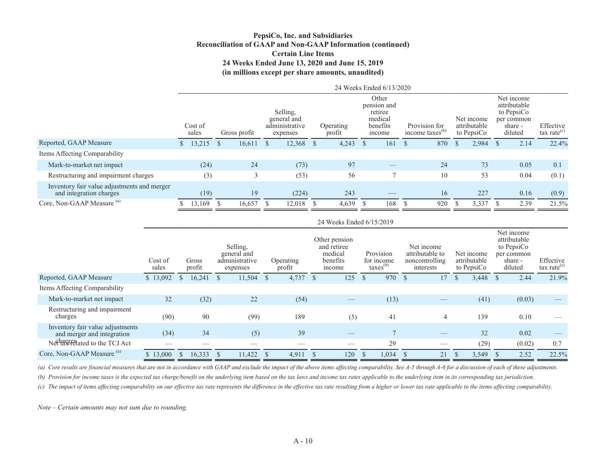#### **PepsiCo, Inc. and Subsidiaries Reconciliation of GAAP and Non-GAAP Information (continued) Certain Line Items 24 Weeks Ended June 13, 2020 and June 15, 2019 (in millions except per share amounts, unaudited)**

| sales                                       | Gross profit |           | Other<br>pension and<br>Selling.<br>retiree<br>medical<br>general and<br>administrative<br>Provision for<br>benefits<br>Operating<br>income taxes <sup>(b)</sup><br>profit<br>income<br>expenses |        |    |       |  |     |  |                          |              |       |                                          | Effective<br>tax rate <sup>(c)</sup> |                                                                              |
|---------------------------------------------|--------------|-----------|--------------------------------------------------------------------------------------------------------------------------------------------------------------------------------------------------|--------|----|-------|--|-----|--|--------------------------|--------------|-------|------------------------------------------|--------------------------------------|------------------------------------------------------------------------------|
| 13,215                                      | -S           | 16,611    | <sup>S</sup>                                                                                                                                                                                     | 12,368 | -S | 4,243 |  | 161 |  | 870                      | <sup>S</sup> | 2,984 |                                          | 2.14                                 | 22.4%                                                                        |
|                                             |              |           |                                                                                                                                                                                                  |        |    |       |  |     |  |                          |              |       |                                          |                                      |                                                                              |
| (24)                                        |              | 24        |                                                                                                                                                                                                  | (73)   |    | 97    |  |     |  | 24                       |              | 73    |                                          | 0.05                                 | 0.1                                                                          |
| (3)                                         |              |           |                                                                                                                                                                                                  | (53)   |    | 56    |  |     |  | 10                       |              | 53    |                                          | 0.04                                 | (0.1)                                                                        |
| (19)                                        |              | 19        |                                                                                                                                                                                                  | (224)  |    | 243   |  |     |  | 16                       |              | 227   |                                          | 0.16                                 | (0.9)                                                                        |
|                                             |              | 16,657    |                                                                                                                                                                                                  | 12,018 |    | 4,639 |  | 168 |  | 920                      |              | 3,337 |                                          | 2.39                                 | 21.5%                                                                        |
| Inventory fair value adjustments and merger | Cost of      | 13.169 \$ |                                                                                                                                                                                                  |        |    |       |  |     |  | 24 Weeks Ended 6/13/2020 |              |       | Net income<br>attributable<br>to PepsiCo |                                      | Net income<br>attributable<br>to PepsiCo<br>per common<br>share -<br>diluted |

|                                                                |                  |                 |      |                                                       |              |                     |              | 24 Weeks Ended 6/15/2019                                      |                                                 |      |                                                              |               |                                          |    |                                                                              |                                      |
|----------------------------------------------------------------|------------------|-----------------|------|-------------------------------------------------------|--------------|---------------------|--------------|---------------------------------------------------------------|-------------------------------------------------|------|--------------------------------------------------------------|---------------|------------------------------------------|----|------------------------------------------------------------------------------|--------------------------------------|
|                                                                | Cost of<br>sales | Gross<br>profit |      | Selling.<br>general and<br>administrative<br>expenses |              | Operating<br>profit |              | Other pension<br>and retiree<br>medical<br>benefits<br>income | Provision<br>for income<br>$\text{taxes}^{(b)}$ |      | Net income<br>attributable to<br>noncontrolling<br>interests |               | Net income<br>attributable<br>to PepsiCo |    | Net income<br>attributable<br>to PepsiCo<br>per common<br>share -<br>diluted | Effective<br>$\text{tax rate}^{(c)}$ |
| Reported, GAAP Measure                                         | \$13,092         | 16,241<br>S     |      | 11,504<br><sup>S</sup>                                | <sup>S</sup> | 4,737               |              | 125                                                           | 970                                             | - \$ | 17                                                           | $\mathcal{S}$ | 3,448                                    | -S | 2.44                                                                         | 21.9%                                |
| Items Affecting Comparability                                  |                  |                 |      |                                                       |              |                     |              |                                                               |                                                 |      |                                                              |               |                                          |    |                                                                              |                                      |
| Mark-to-market net impact                                      | 32               |                 | (32) | 22                                                    |              | (54)                |              |                                                               | (13)                                            |      |                                                              |               | (41)                                     |    | (0.03)                                                                       |                                      |
| Restructuring and impairment<br>charges                        | (90)             |                 | 90   | (99)                                                  |              | 189                 |              | (5)                                                           | 41                                              |      | 4                                                            |               | 139                                      |    | 0.10                                                                         |                                      |
| Inventory fair value adjustments<br>and merger and integration | (34)             |                 | 34   | (5)                                                   |              | 39                  |              |                                                               | 7                                               |      |                                                              |               | 32                                       |    | 0.02                                                                         |                                      |
| Nethal Separated to the TCJ Act                                |                  |                 |      |                                                       |              |                     |              |                                                               | 29                                              |      |                                                              |               | (29)                                     |    | (0.02)                                                                       | 0.7                                  |
| Core, Non-GAAP Measure <sup>(a)</sup>                          | \$13,000         | 16,333          |      | 11,422                                                |              | 4,911               | <sup>S</sup> | 120                                                           | 1,034                                           |      | 21                                                           | D             | 3,549                                    |    | 2.52                                                                         | 22.5%                                |

(a) Core results are financial measures that are not in accordance with GAAP and exclude the impact of the above items affecting comparability. See A-5 through A-6 for a discussion of each of these adjustments.

*(b) Provision for income taxes is the expected tax charge/benefit on the underlying item based on the tax laws and income tax rates applicable to the underlying item in its corresponding tax jurisdiction.* 

*(c) The impact of items affecting comparability on our effective tax rate represents the difference in the effective tax rate resulting from a higher or lower tax rate applicable to the items affecting comparability.*

*Note – Certain amounts may not sum due to rounding.*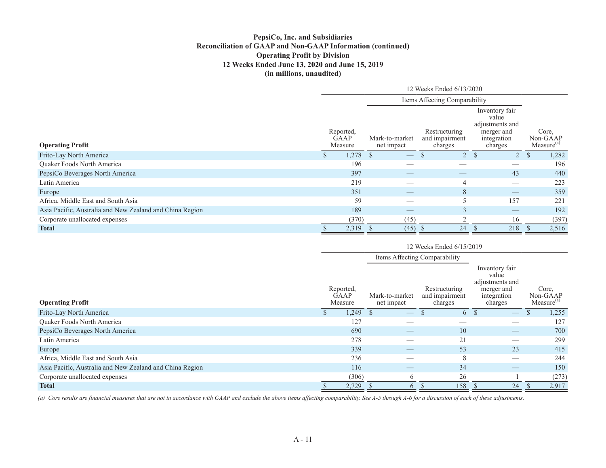### **PepsiCo, Inc. and Subsidiaries Reconciliation of GAAP and Non-GAAP Information (continued) Operating Profit by Division 12 Weeks Ended June 13, 2020 and June 15, 2019 (in millions, unaudited)**

|                                                          |    |                              |                              |      | 12 Weeks Ended 6/13/2020                   |             |                                                                                    |                                             |
|----------------------------------------------------------|----|------------------------------|------------------------------|------|--------------------------------------------|-------------|------------------------------------------------------------------------------------|---------------------------------------------|
|                                                          |    |                              |                              |      | Items Affecting Comparability              |             |                                                                                    |                                             |
| <b>Operating Profit</b>                                  |    | Reported,<br>GAAP<br>Measure | Mark-to-market<br>net impact |      | Restructuring<br>and impairment<br>charges |             | Inventory fair<br>value<br>adjustments and<br>merger and<br>integration<br>charges | Core,<br>Non-GAAP<br>Measure <sup>(a)</sup> |
| Frito-Lay North America                                  | D. | $1,278$ \$                   |                              |      |                                            | $2^{\circ}$ | -S<br>2 S                                                                          | 1,282                                       |
| Quaker Foods North America                               |    | 196                          |                              |      |                                            |             | $\overbrace{\hspace{25mm}}^{}$                                                     | 196                                         |
| PepsiCo Beverages North America                          |    | 397                          |                              |      |                                            |             | 43                                                                                 | 440                                         |
| Latin America                                            |    | 219                          |                              |      |                                            |             |                                                                                    | 223                                         |
| Europe                                                   |    | 351                          |                              |      |                                            | 8           | $\overbrace{\hspace{25mm}}^{}$                                                     | 359                                         |
| Africa, Middle East and South Asia                       |    | 59                           |                              |      |                                            | 5           | 157                                                                                | 221                                         |
| Asia Pacific, Australia and New Zealand and China Region |    | 189                          |                              |      |                                            | 3           | $\overbrace{\hspace{25mm}}^{}$                                                     | 192                                         |
| Corporate unallocated expenses                           |    | (370)                        |                              | (45) |                                            |             | 16                                                                                 | (397)                                       |
| <b>Total</b>                                             |    | 2,319                        |                              | (45) | 25                                         | 24          | 218                                                                                | 2,516                                       |

|                                                          |                                     |                              | 12 Weeks Ended 6/15/2019                   |                                                                                    |                                             |
|----------------------------------------------------------|-------------------------------------|------------------------------|--------------------------------------------|------------------------------------------------------------------------------------|---------------------------------------------|
|                                                          |                                     |                              | Items Affecting Comparability              |                                                                                    |                                             |
| <b>Operating Profit</b>                                  | Reported,<br><b>GAAP</b><br>Measure | Mark-to-market<br>net impact | Restructuring<br>and impairment<br>charges | Inventory fair<br>value<br>adjustments and<br>merger and<br>integration<br>charges | Core.<br>Non-GAAP<br>Measure <sup>(a)</sup> |
| Frito-Lay North America                                  | 1,249                               |                              |                                            | 6 \$                                                                               | 1,255                                       |
| Quaker Foods North America                               | 127                                 | $\overline{\phantom{a}}$     |                                            |                                                                                    | 127                                         |
| PepsiCo Beverages North America                          | 690                                 |                              | 10                                         |                                                                                    | 700                                         |
| Latin America                                            | 278                                 |                              | 21                                         |                                                                                    | 299                                         |
| Europe                                                   | 339                                 |                              | 53                                         | 23                                                                                 | 415                                         |
| Africa, Middle East and South Asia                       | 236                                 |                              | 8                                          |                                                                                    | 244                                         |
| Asia Pacific, Australia and New Zealand and China Region | 116                                 |                              | 34                                         |                                                                                    | 150                                         |
| Corporate unallocated expenses                           | (306)                               | 6                            | 26                                         |                                                                                    | (273)                                       |
| <b>Total</b>                                             | 2,729                               | 6                            | 158                                        | 24                                                                                 | 2,917                                       |

*(a) Core results are financial measures that are not in accordance with GAAP and exclude the above items affecting comparability. See A-5 through A-6 for a discussion of each of these adjustments.*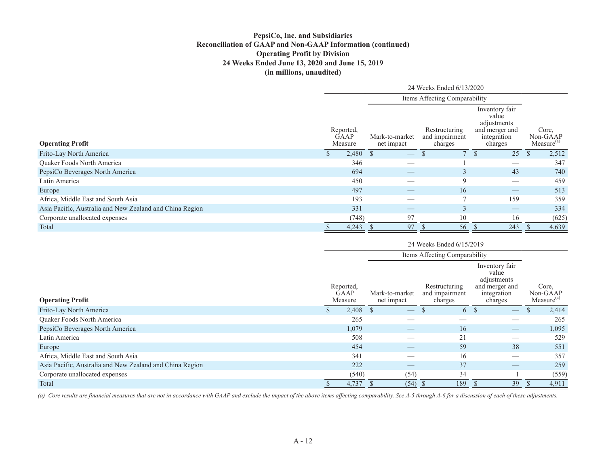#### **PepsiCo, Inc. and Subsidiaries Reconciliation of GAAP and Non-GAAP Information (continued) Operating Profit by Division 24 Weeks Ended June 13, 2020 and June 15, 2019 (in millions, unaudited)**

|                                                          |                              |       |                              |                          | 24 Weeks Ended 6/13/2020                   |                |                                                                                    |               |                                             |
|----------------------------------------------------------|------------------------------|-------|------------------------------|--------------------------|--------------------------------------------|----------------|------------------------------------------------------------------------------------|---------------|---------------------------------------------|
|                                                          |                              |       |                              |                          | Items Affecting Comparability              |                |                                                                                    |               |                                             |
| <b>Operating Profit</b>                                  | Reported,<br>GAAP<br>Measure |       | Mark-to-market<br>net impact |                          | Restructuring<br>and impairment<br>charges |                | Inventory fair<br>value<br>adjustments<br>and merger and<br>integration<br>charges |               | Core,<br>Non-GAAP<br>Measure <sup>(a)</sup> |
| Frito-Lay North America                                  |                              | 2,480 | <sup>S</sup>                 | $\overline{\phantom{m}}$ |                                            |                | 25                                                                                 | $\mathcal{P}$ | 2,512                                       |
| Quaker Foods North America                               |                              | 346   |                              |                          |                                            |                | $\overbrace{\hspace{25mm}}^{}$                                                     |               | 347                                         |
| PepsiCo Beverages North America                          |                              | 694   |                              |                          |                                            | $\Delta$       | 43                                                                                 |               | 740                                         |
| Latin America                                            |                              | 450   |                              |                          |                                            | 9              | $\overbrace{\hspace{25mm}}^{}$                                                     |               | 459                                         |
| Europe                                                   |                              | 497   |                              |                          |                                            | 16             | $\hspace{0.1mm}-\hspace{0.1mm}$                                                    |               | 513                                         |
| Africa, Middle East and South Asia                       |                              | 193   |                              | __                       |                                            | $\overline{ }$ | 159                                                                                |               | 359                                         |
| Asia Pacific, Australia and New Zealand and China Region |                              | 331   |                              |                          |                                            | $\bigcap$<br>Ć | $\hspace{0.1mm}-\hspace{0.1mm}$                                                    |               | 334                                         |
| Corporate unallocated expenses                           |                              | (748) |                              | 97                       | 10                                         |                | 16                                                                                 |               | (625)                                       |
| Total                                                    |                              | 4,243 |                              | 97                       |                                            | 56             | 243                                                                                |               | 4,639                                       |

|                                                          |                                     |                              |                                | 24 Weeks Ended 6/15/2019                   |      |                                                                                    |                                             |
|----------------------------------------------------------|-------------------------------------|------------------------------|--------------------------------|--------------------------------------------|------|------------------------------------------------------------------------------------|---------------------------------------------|
|                                                          |                                     |                              |                                | Items Affecting Comparability              |      |                                                                                    |                                             |
| <b>Operating Profit</b>                                  | Reported,<br><b>GAAP</b><br>Measure | Mark-to-market<br>net impact |                                | Restructuring<br>and impairment<br>charges |      | Inventory fair<br>value<br>adjustments<br>and merger and<br>integration<br>charges | Core,<br>Non-GAAP<br>Measure <sup>(a)</sup> |
| Frito-Lay North America                                  | 2,408                               |                              | $\overbrace{\phantom{aaaaa}}$  |                                            | 6 \$ | $\hspace{0.1mm}-\hspace{0.1mm}$                                                    | 2,414                                       |
| Quaker Foods North America                               | 265                                 |                              |                                |                                            |      |                                                                                    | 265                                         |
| PepsiCo Beverages North America                          | 1,079                               |                              |                                | 16                                         |      | $\overline{\phantom{m}}$                                                           | 1,095                                       |
| Latin America                                            | 508                                 |                              |                                | 21                                         |      | __                                                                                 | 529                                         |
| Europe                                                   | 454                                 |                              | $\overbrace{\hspace{25mm}}^{}$ | 59                                         |      | 38                                                                                 | 551                                         |
| Africa, Middle East and South Asia                       | 341                                 |                              |                                | 16                                         |      |                                                                                    | 357                                         |
| Asia Pacific, Australia and New Zealand and China Region | 222                                 |                              |                                | 37                                         |      | $\overbrace{\phantom{aaaaa}}$                                                      | 259                                         |
| Corporate unallocated expenses                           | (540)                               |                              | (54)                           | 34                                         |      |                                                                                    | (559)                                       |
| Total                                                    | 4,737                               |                              | (54)                           | 189                                        |      | 39                                                                                 | 4,911                                       |

*(a) Core results are financial measures that are not in accordance with GAAP and exclude the impact of the above items affecting comparability. See A-5 through A-6 for a discussion of each of these adjustments.*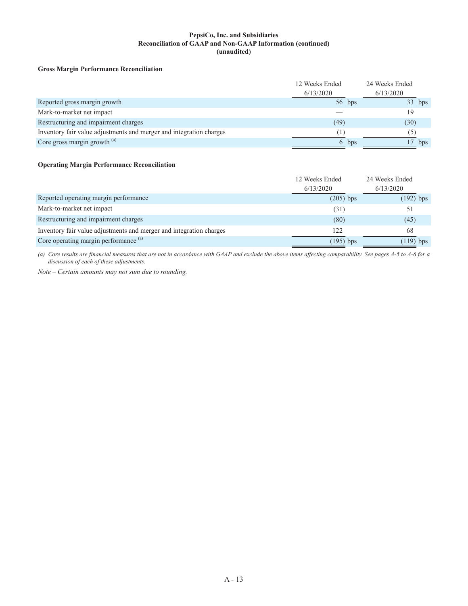#### **PepsiCo, Inc. and Subsidiaries Reconciliation of GAAP and Non-GAAP Information (continued) (unaudited)**

#### **Gross Margin Performance Reconciliation**

|                                                                     | 12 Weeks Ended<br>6/13/2020 |       | 24 Weeks Ended<br>6/13/2020 |
|---------------------------------------------------------------------|-----------------------------|-------|-----------------------------|
| Reported gross margin growth                                        | $56$ bps                    |       | $33$ bps                    |
| Mark-to-market net impact                                           |                             |       | 19                          |
| Restructuring and impairment charges                                | (49)                        |       | (30)                        |
| Inventory fair value adjustments and merger and integration charges |                             |       |                             |
| Core gross margin growth $(a)$                                      |                             | 6 bps | bps                         |

#### **Operating Margin Performance Reconciliation**

|                                                                     | 12 Weeks Ended<br>6/13/2020 | 24 Weeks Ended<br>6/13/2020 |
|---------------------------------------------------------------------|-----------------------------|-----------------------------|
| Reported operating margin performance                               | $(205)$ bps                 | $(192)$ bps                 |
| Mark-to-market net impact                                           | (31)                        |                             |
| Restructuring and impairment charges                                | (80)                        | (45)                        |
| Inventory fair value adjustments and merger and integration charges | 122                         | 68                          |
| Core operating margin performance (a)                               | $(195)$ bps                 | $(119)$ bps                 |

*(a) Core results are financial measures that are not in accordance with GAAP and exclude the above items affecting comparability. See pages A-5 to A-6 for a discussion of each of these adjustments.*

*Note – Certain amounts may not sum due to rounding.*